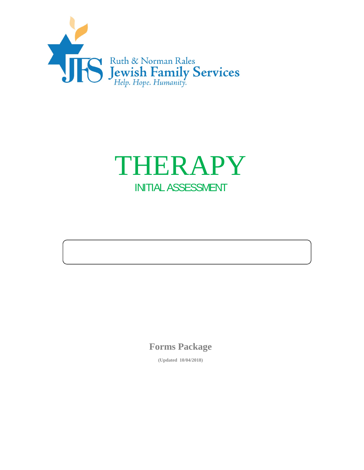



**Forms Package** 

**(Updated 10/04/2018)**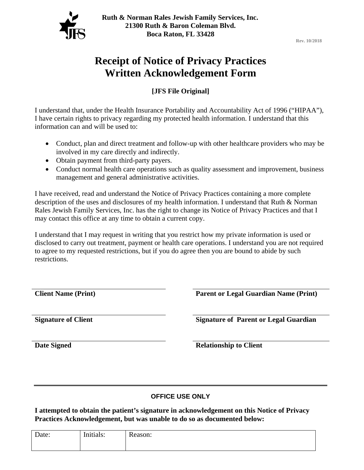

**Rev. 10/2018**

## **Receipt of Notice of Privacy Practices Written Acknowledgement Form**

**[JFS File Original]**

I understand that, under the Health Insurance Portability and Accountability Act of 1996 ("HIPAA"), I have certain rights to privacy regarding my protected health information. I understand that this information can and will be used to:

- Conduct, plan and direct treatment and follow-up with other healthcare providers who may be involved in my care directly and indirectly.
- Obtain payment from third-party payers.
- Conduct normal health care operations such as quality assessment and improvement, business management and general administrative activities.

I have received, read and understand the Notice of Privacy Practices containing a more complete description of the uses and disclosures of my health information. I understand that Ruth & Norman Rales Jewish Family Services, Inc. has the right to change its Notice of Privacy Practices and that I may contact this office at any time to obtain a current copy.

I understand that I may request in writing that you restrict how my private information is used or disclosed to carry out treatment, payment or health care operations. I understand you are not required to agree to my requested restrictions, but if you do agree then you are bound to abide by such restrictions.

**Client Name (Print) Parent or Legal Guardian Name (Print)** 

**Signature of Client Signature of Parent or Legal Guardian Signature of Parent or Legal Guardian** 

**Date Signed Relationship to Client** 

### **OFFICE USE ONLY**

**I attempted to obtain the patient's signature in acknowledgement on this Notice of Privacy Practices Acknowledgement, but was unable to do so as documented below:**

| Date: | Initiales<br>minais: | $\mathbf{r}$<br>Reason: |
|-------|----------------------|-------------------------|
|       |                      |                         |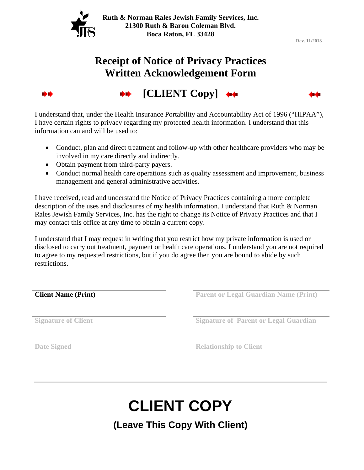

**Rev. 11/2013**

## **Receipt of Notice of Privacy Practices Written Acknowledgement Form**



**[CLIENT Copy]** 

I understand that, under the Health Insurance Portability and Accountability Act of 1996 ("HIPAA"), I have certain rights to privacy regarding my protected health information. I understand that this information can and will be used to:

- Conduct, plan and direct treatment and follow-up with other healthcare providers who may be involved in my care directly and indirectly.
- Obtain payment from third-party payers.
- Conduct normal health care operations such as quality assessment and improvement, business management and general administrative activities.

I have received, read and understand the Notice of Privacy Practices containing a more complete description of the uses and disclosures of my health information. I understand that Ruth & Norman Rales Jewish Family Services, Inc. has the right to change its Notice of Privacy Practices and that I may contact this office at any time to obtain a current copy.

I understand that I may request in writing that you restrict how my private information is used or disclosed to carry out treatment, payment or health care operations. I understand you are not required to agree to my requested restrictions, but if you do agree then you are bound to abide by such restrictions.

**Client Name (Print)** Parent or Legal Guardian Name (Print)

**Signature of Client Signature of Parent or Legal Guardian**   $\overline{\phantom{S}}$ 

**Date Signed Relationship to Client** 

# **CLIENT COPY**

**(Leave This Copy With Client)**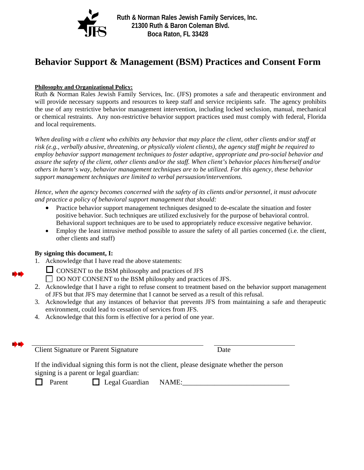

**Ruth & Norman Rales Jewish Family Services, Inc. 21300 Ruth & Baron Coleman Blvd. Boca Raton, FL 33428** 

## **Behavior Support & Management (BSM) Practices and Consent Form**

#### **Philosophy and Organizational Policy:**

Ruth & Norman Rales Jewish Family Services, Inc. (JFS) promotes a safe and therapeutic environment and will provide necessary supports and resources to keep staff and service recipients safe. The agency prohibits the use of any restrictive behavior management intervention, including locked seclusion, manual, mechanical or chemical restraints. Any non-restrictive behavior support practices used must comply with federal, Florida and local requirements.

*When dealing with a client who exhibits any behavior that may place the client, other clients and/or staff at risk (e.g., verbally abusive, threatening, or physically violent clients), the agency staff might be required to employ behavior support management techniques to foster adaptive, appropriate and pro-social behavior and assure the safety of the client, other clients and/or the staff. When client's behavior places him/herself and/or others in harm's way, behavior management techniques are to be utilized. For this agency, these behavior support management techniques are limited to verbal persuasion/interventions.* 

*Hence, when the agency becomes concerned with the safety of its clients and/or personnel, it must advocate and practice a policy of behavioral support management that should:* 

- Practice behavior support management techniques designed to de-escalate the situation and foster positive behavior. Such techniques are utilized exclusively for the purpose of behavioral control. Behavioral support techniques are to be used to appropriately reduce excessive negative behavior.
- Employ the least intrusive method possible to assure the safety of all parties concerned (i.e. the client, other clients and staff)

#### **By signing this document, I:**

- 1. Acknowledge that I have read the above statements:
	- $\Box$  CONSENT to the BSM philosophy and practices of JFS DO NOT CONSENT to the BSM philosophy and practices of JFS.
- 2. Acknowledge that I have a right to refuse consent to treatment based on the behavior support management of JFS but that JFS may determine that I cannot be served as a result of this refusal.
- 3. Acknowledge that any instances of behavior that prevents JFS from maintaining a safe and therapeutic environment, could lead to cessation of services from JFS.
- 4. Acknowledge that this form is effective for a period of one year.

Client Signature or Parent Signature Date

If the individual signing this form is not the client, please designate whether the person signing is a parent or legal guardian:

 $\Box$  Parent  $\Box$  Legal Guardian NAME: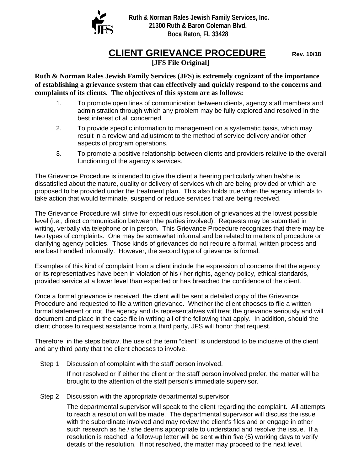

**Ruth & Norman Rales Jewish Family Services, Inc. 21300 Ruth & Baron Coleman Blvd. Boca Raton, FL 33428** 

## **CLIENT GRIEVANCE PROCEDURE** Rev. 10/18

**[JFS File Original]**

**Ruth & Norman Rales Jewish Family Services (JFS) is extremely cognizant of the importance of establishing a grievance system that can effectively and quickly respond to the concerns and complaints of its clients. The objectives of this system are as follows:** 

- 1. To promote open lines of communication between clients, agency staff members and administration through which any problem may be fully explored and resolved in the best interest of all concerned.
- 2. To provide specific information to management on a systematic basis, which may result in a review and adjustment to the method of service delivery and/or other aspects of program operations.
- 3. To promote a positive relationship between clients and providers relative to the overall functioning of the agency's services.

The Grievance Procedure is intended to give the client a hearing particularly when he/she is dissatisfied about the nature, quality or delivery of services which are being provided or which are proposed to be provided under the treatment plan. This also holds true when the agency intends to take action that would terminate, suspend or reduce services that are being received.

The Grievance Procedure will strive for expeditious resolution of grievances at the lowest possible level (i.e., direct communication between the parties involved). Requests may be submitted in writing, verbally via telephone or in person. This Grievance Procedure recognizes that there may be two types of complaints. One may be somewhat informal and be related to matters of procedure or clarifying agency policies. Those kinds of grievances do not require a formal, written process and are best handled informally. However, the second type of grievance is formal.

Examples of this kind of complaint from a client include the expression of concerns that the agency or its representatives have been in violation of his / her rights, agency policy, ethical standards, provided service at a lower level than expected or has breached the confidence of the client.

Once a formal grievance is received, the client will be sent a detailed copy of the Grievance Procedure and requested to file a written grievance. Whether the client chooses to file a written formal statement or not, the agency and its representatives will treat the grievance seriously and will document and place in the case file in writing all of the following that apply. In addition, should the client choose to request assistance from a third party, JFS will honor that request.

Therefore, in the steps below, the use of the term "client" is understood to be inclusive of the client and any third party that the client chooses to involve.

Step 1 Discussion of complaint with the staff person involved.

If not resolved or if either the client or the staff person involved prefer, the matter will be brought to the attention of the staff person's immediate supervisor.

Step 2 Discussion with the appropriate departmental supervisor.

The departmental supervisor will speak to the client regarding the complaint. All attempts to reach a resolution will be made. The departmental supervisor will discuss the issue with the subordinate involved and may review the client's files and or engage in other such research as he / she deems appropriate to understand and resolve the issue. If a resolution is reached, a follow-up letter will be sent within five (5) working days to verify details of the resolution. If not resolved, the matter may proceed to the next level.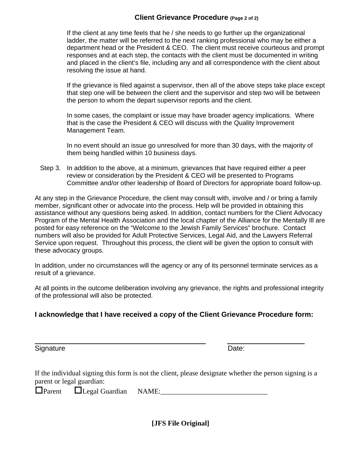### **Client Grievance Procedure (Page 2 of 2)**

If the client at any time feels that he / she needs to go further up the organizational ladder, the matter will be referred to the next ranking professional who may be either a department head or the President & CEO. The client must receive courteous and prompt responses and at each step, the contacts with the client must be documented in writing and placed in the client's file, including any and all correspondence with the client about resolving the issue at hand.

If the grievance is filed against a supervisor, then all of the above steps take place except that step one will be between the client and the supervisor and step two will be between the person to whom the depart supervisor reports and the client.

In some cases, the complaint or issue may have broader agency implications. Where that is the case the President & CEO will discuss with the Quality Improvement Management Team.

In no event should an issue go unresolved for more than 30 days, with the majority of them being handled within 10 business days.

Step 3. In addition to the above, at a minimum, grievances that have required either a peer review or consideration by the President & CEO will be presented to Programs Committee and/or other leadership of Board of Directors for appropriate board follow-up.

At any step in the Grievance Procedure, the client may consult with, involve and / or bring a family member, significant other or advocate into the process. Help will be provided in obtaining this assistance without any questions being asked. In addition, contact numbers for the Client Advocacy Program of the Mental Health Association and the local chapter of the Alliance for the Mentally Ill are posted for easy reference on the "Welcome to the Jewish Family Services" brochure. Contact numbers will also be provided for Adult Protective Services, Legal Aid, and the Lawyers Referral Service upon request. Throughout this process, the client will be given the option to consult with these advocacy groups.

In addition, under no circumstances will the agency or any of its personnel terminate services as a result of a grievance.

At all points in the outcome deliberation involving any grievance, the rights and professional integrity of the professional will also be protected.

### **I acknowledge that I have received a copy of the Client Grievance Procedure form:**

Signature **Date: Date: Date: Date: Date: Date: Date: Date: Date: Date: Date: Date: Date: Date: Date: Date: Date: Date: Date: Date: Date: Date: Date: Date: Date: Date: Dat** 

If the individual signing this form is not the client, please designate whether the person signing is a parent or legal guardian:

 $\Box$  Parent  $\Box$  Legal Guardian NAME:

**[JFS File Original]**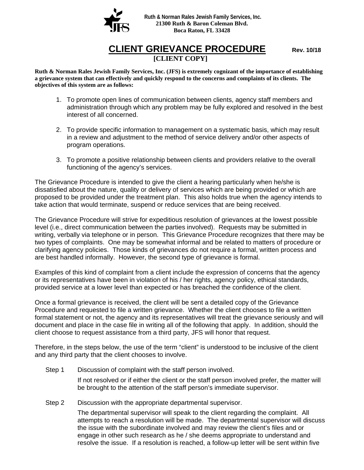

## **CLIENT GRIEVANCE PROCEDURE** Rev. 10/18 **[CLIENT COPY]**

**Ruth & Norman Rales Jewish Family Services, Inc. (JFS) is extremely cognizant of the importance of establishing a grievance system that can effectively and quickly respond to the concerns and complaints of its clients. The objectives of this system are as follows:**

- 1. To promote open lines of communication between clients, agency staff members and administration through which any problem may be fully explored and resolved in the best interest of all concerned.
- 2. To provide specific information to management on a systematic basis, which may result in a review and adjustment to the method of service delivery and/or other aspects of program operations.
- 3. To promote a positive relationship between clients and providers relative to the overall functioning of the agency's services.

The Grievance Procedure is intended to give the client a hearing particularly when he/she is dissatisfied about the nature, quality or delivery of services which are being provided or which are proposed to be provided under the treatment plan. This also holds true when the agency intends to take action that would terminate, suspend or reduce services that are being received.

The Grievance Procedure will strive for expeditious resolution of grievances at the lowest possible level (i.e., direct communication between the parties involved). Requests may be submitted in writing, verbally via telephone or in person. This Grievance Procedure recognizes that there may be two types of complaints. One may be somewhat informal and be related to matters of procedure or clarifying agency policies. Those kinds of grievances do not require a formal, written process and are best handled informally. However, the second type of grievance is formal.

Examples of this kind of complaint from a client include the expression of concerns that the agency or its representatives have been in violation of his / her rights, agency policy, ethical standards, provided service at a lower level than expected or has breached the confidence of the client.

Once a formal grievance is received, the client will be sent a detailed copy of the Grievance Procedure and requested to file a written grievance. Whether the client chooses to file a written formal statement or not, the agency and its representatives will treat the grievance seriously and will document and place in the case file in writing all of the following that apply. In addition, should the client choose to request assistance from a third party, JFS will honor that request.

Therefore, in the steps below, the use of the term "client" is understood to be inclusive of the client and any third party that the client chooses to involve.

Step 1 Discussion of complaint with the staff person involved.

If not resolved or if either the client or the staff person involved prefer, the matter will be brought to the attention of the staff person's immediate supervisor.

Step 2 Discussion with the appropriate departmental supervisor.

The departmental supervisor will speak to the client regarding the complaint. All attempts to reach a resolution will be made. The departmental supervisor will discuss the issue with the subordinate involved and may review the client's files and or engage in other such research as he / she deems appropriate to understand and resolve the issue. If a resolution is reached, a follow-up letter will be sent within five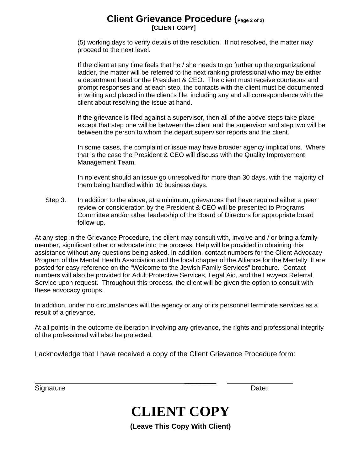## **Client Grievance Procedure (Page 2 of 2) [CLIENT COPY]**

(5) working days to verify details of the resolution. If not resolved, the matter may proceed to the next level.

If the client at any time feels that he / she needs to go further up the organizational ladder, the matter will be referred to the next ranking professional who may be either a department head or the President & CEO. The client must receive courteous and prompt responses and at each step, the contacts with the client must be documented in writing and placed in the client's file, including any and all correspondence with the client about resolving the issue at hand.

If the grievance is filed against a supervisor, then all of the above steps take place except that step one will be between the client and the supervisor and step two will be between the person to whom the depart supervisor reports and the client.

In some cases, the complaint or issue may have broader agency implications. Where that is the case the President & CEO will discuss with the Quality Improvement Management Team.

In no event should an issue go unresolved for more than 30 days, with the majority of them being handled within 10 business days.

Step 3. In addition to the above, at a minimum, grievances that have required either a peer review or consideration by the President & CEO will be presented to Programs Committee and/or other leadership of the Board of Directors for appropriate board follow-up.

At any step in the Grievance Procedure, the client may consult with, involve and / or bring a family member, significant other or advocate into the process. Help will be provided in obtaining this assistance without any questions being asked. In addition, contact numbers for the Client Advocacy Program of the Mental Health Association and the local chapter of the Alliance for the Mentally Ill are posted for easy reference on the "Welcome to the Jewish Family Services" brochure. Contact numbers will also be provided for Adult Protective Services, Legal Aid, and the Lawyers Referral Service upon request. Throughout this process, the client will be given the option to consult with these advocacy groups.

In addition, under no circumstances will the agency or any of its personnel terminate services as a result of a grievance.

At all points in the outcome deliberation involving any grievance, the rights and professional integrity of the professional will also be protected.

I acknowledge that I have received a copy of the Client Grievance Procedure form:

Signature Date:

## **CLIENT COPY**

 $\overline{\phantom{a}}$ 

**(Leave This Copy With Client)**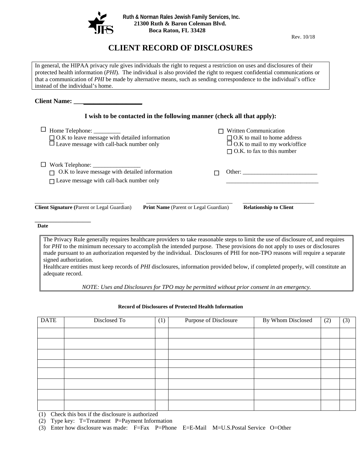

Rev. 10/18

## **CLIENT RECORD OF DISCLOSURES**

In general, the HIPAA privacy rule gives individuals the right to request a restriction on uses and disclosures of their protected health information (*PHI*). The individual is also provided the right to request confidential communications or that a communication of *PHI* be made by alternative means, such as sending correspondence to the individual's office instead of the individual's home.

#### **Client Name: \_\_\_\_\_\_\_\_\_\_\_\_\_\_\_\_\_\_\_\_\_**

| I wish to be contacted in the following manner (check all that apply):                                                                     |                                              |                                                                                                                                                                                                                                |  |  |
|--------------------------------------------------------------------------------------------------------------------------------------------|----------------------------------------------|--------------------------------------------------------------------------------------------------------------------------------------------------------------------------------------------------------------------------------|--|--|
| ப<br>Home Telephone: _________<br>$\Box$ O.K to leave message with detailed information<br>$\Box$ Leave message with call-back number only |                                              | <b>Written Communication</b><br>$\Box$ O.K to mail to home address<br>$\Box$ O.K to mail to my work/office<br>$\Box$ O.K. to fax to this number                                                                                |  |  |
| O.K to leave message with detailed information<br>$\Box$ Leave message with call-back number only                                          |                                              | Other: the contract of the contract of the contract of the contract of the contract of the contract of the contract of the contract of the contract of the contract of the contract of the contract of the contract of the con |  |  |
| <b>Client Signature</b> (Parent or Legal Guardian)                                                                                         | <b>Print Name</b> (Parent or Legal Guardian) | <b>Relationship to Client</b>                                                                                                                                                                                                  |  |  |
| Date<br>The Privacy Rule generally requires healthcare providers to take reasonable steps to limit the use of disclosure of, and requires  |                                              |                                                                                                                                                                                                                                |  |  |

for *PHI* to the minimum necessary to accomplish the intended purpose. These provisions do not apply to uses or disclosures made pursuant to an authorization requested by the individual. Disclosures of PHI for non-TPO reasons will require a separate signed authorization.

Healthcare entities must keep records of *PHI* disclosures, information provided below, if completed properly, will constitute an adequate record.

*NOTE: Uses and Disclosures for TPO may be permitted without prior consent in an emergency.*

#### **Record of Disclosures of Protected Health Information**

| <b>DATE</b> | Disclosed To | (1) | Purpose of Disclosure | By Whom Disclosed | (2) | (3) |
|-------------|--------------|-----|-----------------------|-------------------|-----|-----|
|             |              |     |                       |                   |     |     |
|             |              |     |                       |                   |     |     |
|             |              |     |                       |                   |     |     |
|             |              |     |                       |                   |     |     |
|             |              |     |                       |                   |     |     |
|             |              |     |                       |                   |     |     |
|             |              |     |                       |                   |     |     |
|             |              |     |                       |                   |     |     |

(1) Check this box if the disclosure is authorized

(2) Type key: T=Treatment P=Payment Information

(3) Enter how disclosure was made: F=Fax P=Phone E=E-Mail M=U.S.Postal Service O=Other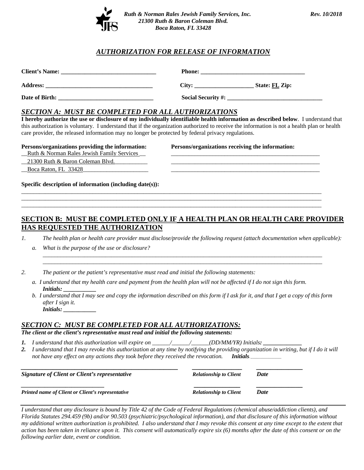

#### *AUTHORIZATION FOR RELEASE OF INFORMATION*

| <b>Client's Name:</b> | <b>Phone:</b>             |
|-----------------------|---------------------------|
| <b>Address:</b>       | Citv:<br>State: FL Zip:   |
| Date of Birth:        | <b>Social Security #:</b> |

#### *SECTION A: MUST BE COMPLETED FOR ALL AUTHORIZATIONS*

**I hereby authorize the use or disclosure of my individually identifiable health information as described below**. I understand that this authorization is voluntary. I understand that if the organization authorized to receive the information is not a health plan or health care provider, the released information may no longer be protected by federal privacy regulations.

#### **Persons/organizations providing the information: Persons/organizations receiving the information:**

| Ruth & Norman Rales Jewish Family Services | the contract of the contract of the contract of the contract of the contract of the contract of the contract of |
|--------------------------------------------|-----------------------------------------------------------------------------------------------------------------|
| 21300 Ruth & Baron Coleman Blvd            |                                                                                                                 |

Boca Raton, FL 33428

**Specific description of information (including date(s)):** 

#### **SECTION B: MUST BE COMPLETED ONLY IF A HEALTH PLAN OR HEALTH CARE PROVIDER HAS REQUESTED THE AUTHORIZATION**

\_\_\_\_\_\_\_\_\_\_\_\_\_\_\_\_\_\_\_\_\_\_\_\_\_\_\_\_\_\_\_\_\_\_\_\_\_\_\_\_\_\_\_\_\_\_\_\_\_\_\_\_\_\_\_\_\_\_\_\_\_\_\_\_\_\_\_\_\_\_\_\_\_\_\_\_\_\_\_\_\_\_\_\_\_\_\_\_\_\_\_\_\_\_\_\_\_\_\_\_\_ \_\_\_\_\_\_\_\_\_\_\_\_\_\_\_\_\_\_\_\_\_\_\_\_\_\_\_\_\_\_\_\_\_\_\_\_\_\_\_\_\_\_\_\_\_\_\_\_\_\_\_\_\_\_\_\_\_\_\_\_\_\_\_\_\_\_\_\_\_\_\_\_\_\_\_\_\_\_\_\_\_\_\_\_\_\_\_\_\_\_\_\_\_\_\_\_\_\_\_\_\_ \_\_\_\_\_\_\_\_\_\_\_\_\_\_\_\_\_\_\_\_\_\_\_\_\_\_\_\_\_\_\_\_\_\_\_\_\_\_\_\_\_\_\_\_\_\_\_\_\_\_\_\_\_\_\_\_\_\_\_\_\_\_\_\_\_\_\_\_\_\_\_\_\_\_\_\_\_\_\_\_\_\_\_\_\_\_\_\_\_\_\_\_\_\_\_\_\_\_\_\_\_

*1. The health plan or health care provider must disclose/provide the following request (attach documentation when applicable):*

*\_\_\_\_\_\_\_\_\_\_\_\_\_\_\_\_\_\_\_\_\_\_\_\_\_\_\_\_\_\_\_\_\_\_\_\_\_\_\_\_\_\_\_\_\_\_\_\_\_\_\_\_\_\_\_\_\_\_\_\_\_\_\_\_\_\_\_\_\_\_\_\_\_\_\_\_\_\_\_\_\_\_\_\_\_\_\_\_\_\_\_\_\_\_ \_\_\_\_\_\_\_\_\_\_\_\_\_\_\_\_\_\_\_\_\_\_\_\_\_\_\_\_\_\_\_\_\_\_\_\_\_\_\_\_\_\_\_\_\_\_\_\_\_\_\_\_\_\_\_\_\_\_\_\_\_\_\_\_\_\_\_\_\_\_\_\_\_\_\_\_\_\_\_\_\_\_\_\_\_\_\_\_\_\_\_\_\_\_*

- *a. What is the purpose of the use or disclosure?*
- *2. The patient or the patient's representative must read and initial the following statements:*
	- *a. I understand that my health care and payment from the health plan will not be affected if I do not sign this form. Initials:*
	- *b. I understand that I may see and copy the information described on this form if I ask for it, and that I get a copy of this form after I sign it. Initials: \_\_\_\_\_\_\_\_\_\_\_*

#### *SECTION C: MUST BE COMPLETED FOR ALL AUTHORIZATIONS:*

*The client or the client's representative must read and initial the following statements:*

- *1. I understand that this authorization will expire on \_\_\_\_\_\_/\_\_\_\_\_\_/\_\_\_\_\_\_(DD/MM/YR) Initials: \_\_\_\_\_\_\_\_\_\_\_\_\_*
- *2. I understand that I may revoke this authorization at any time by notifying the providing organization in writing, but if I do it will not have any effect on any actions they took before they received the revocation. Initials.\_*

| Signature of Client or Client's representative           | <b>Relationship to Client</b> | Date        |
|----------------------------------------------------------|-------------------------------|-------------|
| <b>Printed name of Client or Client's representative</b> | <b>Relationship to Client</b> | <b>Date</b> |

*I understand that any disclosure is bound by Title 42 of the Code of Federal Regulations (chemical abuse/addiction clients), and Florida Statutes 294.459 (9b) and/or 90.503 (psychiatric/psychological information), and that disclosure of this information without my additional written authorization is prohibited. I also understand that I may revoke this consent at any time except to the extent that action has been taken in reliance upon it. This consent will automatically expire six (6) months after the date of this consent or on the following earlier date, event or condition.*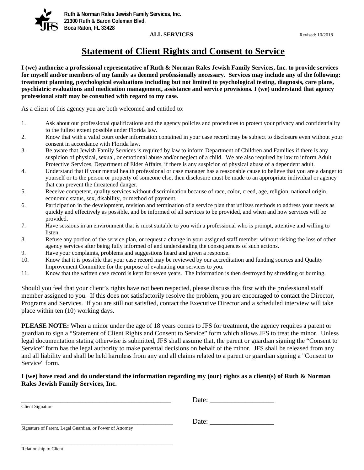

#### **ALL SERVICES** Revised: 10/2018

## **Statement of Client Rights and Consent to Service**

**I (we) authorize a professional representative of Ruth & Norman Rales Jewish Family Services, Inc. to provide services for myself and/or members of my family as deemed professionally necessary. Services may include any of the following: treatment planning, psychological evaluations including but not limited to psychological testing, diagnosis, care plans, psychiatric evaluations and medication management, assistance and service provisions. I (we) understand that agency professional staff may be consulted with regard to my case.** 

As a client of this agency you are both welcomed and entitled to:

- 1. Ask about our professional qualifications and the agency policies and procedures to protect your privacy and confidentiality to the fullest extent possible under Florida law.
- 2. Know that with a valid court order information contained in your case record may be subject to disclosure even without your consent in accordance with Florida law.
- 3. Be aware that Jewish Family Services is required by law to inform Department of Children and Families if there is any suspicion of physical, sexual, or emotional abuse and/or neglect of a child. We are also required by law to inform Adult Protective Services, Department of Elder Affairs, if there is any suspicion of physical abuse of a dependent adult.
- 4. Understand that if your mental health professional or case manager has a reasonable cause to believe that you are a danger to yourself or to the person or property of someone else, then disclosure must be made to an appropriate individual or agency that can prevent the threatened danger.
- 5. Receive competent, quality services without discrimination because of race, color, creed, age, religion, national origin, economic status, sex, disability, or method of payment.
- 6. Participation in the development, revision and termination of a service plan that utilizes methods to address your needs as quickly and effectively as possible, and be informed of all services to be provided, and when and how services will be provided.
- 7. Have sessions in an environment that is most suitable to you with a professional who is prompt, attentive and willing to listen.
- 8. Refuse any portion of the service plan, or request a change in your assigned staff member without risking the loss of other agency services after being fully informed of and understanding the consequences of such actions.
- 9. Have your complaints, problems and suggestions heard and given a response.
- 10. Know that it is possible that your case record may be reviewed by our accreditation and funding sources and Quality Improvement Committee for the purpose of evaluating our services to you.
- 11. Know that the written case record is kept for seven years. The information is then destroyed by shredding or burning.

Should you feel that your client's rights have not been respected, please discuss this first with the professional staff member assigned to you. If this does not satisfactorily resolve the problem, you are encouraged to contact the Director, Programs and Services. If you are still not satisfied, contact the Executive Director and a scheduled interview will take place within ten (10) working days.

**PLEASE NOTE:** When a minor under the age of 18 years comes to JFS for treatment, the agency requires a parent or guardian to sign a "Statement of Client Rights and Consent to Service" form which allows JFS to treat the minor. Unless legal documentation stating otherwise is submitted, JFS shall assume that, the parent or guardian signing the "Consent to Service" form has the legal authority to make parental decisions on behalf of the minor. JFS shall be released from any and all liability and shall be held harmless from any and all claims related to a parent or guardian signing a "Consent to Service" form.

#### **I (we) have read and do understand the information regarding my (our) rights as a client(s) of Ruth & Norman Rales Jewish Family Services, Inc.**

|                                                           | Date: |  |
|-----------------------------------------------------------|-------|--|
| Client Signature                                          |       |  |
|                                                           | Date: |  |
| Signature of Parent, Legal Guardian, or Power of Attorney |       |  |

\_\_\_\_\_\_\_\_\_\_\_\_\_\_\_\_\_\_\_\_\_\_\_\_\_\_\_\_\_\_\_\_\_\_\_\_\_\_\_\_\_\_\_\_\_\_\_\_\_\_\_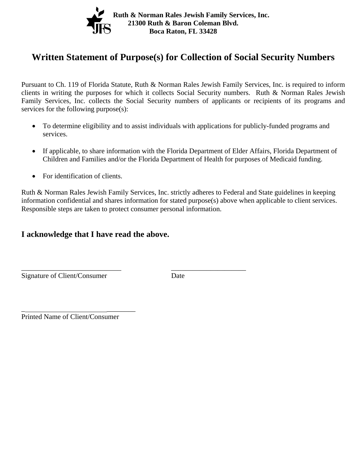

## **Written Statement of Purpose(s) for Collection of Social Security Numbers**

Pursuant to Ch. 119 of Florida Statute, Ruth & Norman Rales Jewish Family Services, Inc. is required to inform clients in writing the purposes for which it collects Social Security numbers. Ruth & Norman Rales Jewish Family Services, Inc. collects the Social Security numbers of applicants or recipients of its programs and services for the following purpose(s):

- To determine eligibility and to assist individuals with applications for publicly-funded programs and services.
- If applicable, to share information with the Florida Department of Elder Affairs, Florida Department of Children and Families and/or the Florida Department of Health for purposes of Medicaid funding.
- For identification of clients.

Ruth & Norman Rales Jewish Family Services, Inc. strictly adheres to Federal and State guidelines in keeping information confidential and shares information for stated purpose(s) above when applicable to client services. Responsible steps are taken to protect consumer personal information.

### **I acknowledge that I have read the above.**

\_\_\_\_\_\_\_\_\_\_\_\_\_\_\_\_\_\_\_\_\_\_\_\_\_\_\_\_ \_\_\_\_\_\_\_\_\_\_\_\_\_\_\_\_\_\_\_\_\_

Signature of Client/Consumer Date

Printed Name of Client/Consumer

\_ \_\_\_\_\_\_\_\_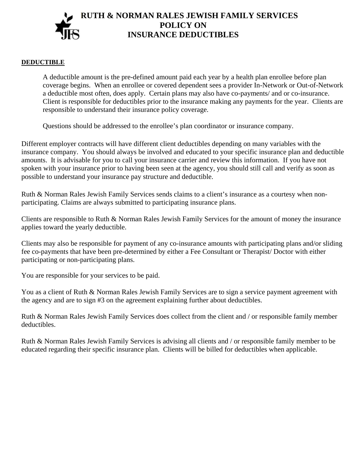## **RUTH & NORMAN RALES JEWISH FAMILY SERVICES POLICY ON INSURANCE DEDUCTIBLES**

#### **DEDUCTIBLE**

A deductible amount is the pre-defined amount paid each year by a health plan enrollee before plan coverage begins. When an enrollee or covered dependent sees a provider In-Network or Out-of-Network a deductible most often, does apply. Certain plans may also have co-payments/ and or co-insurance. Client is responsible for deductibles prior to the insurance making any payments for the year. Clients are responsible to understand their insurance policy coverage.

Questions should be addressed to the enrollee's plan coordinator or insurance company.

Different employer contracts will have different client deductibles depending on many variables with the insurance company. You should always be involved and educated to your specific insurance plan and deductible amounts. It is advisable for you to call your insurance carrier and review this information. If you have not spoken with your insurance prior to having been seen at the agency, you should still call and verify as soon as possible to understand your insurance pay structure and deductible.

Ruth & Norman Rales Jewish Family Services sends claims to a client's insurance as a courtesy when nonparticipating. Claims are always submitted to participating insurance plans.

Clients are responsible to Ruth & Norman Rales Jewish Family Services for the amount of money the insurance applies toward the yearly deductible.

Clients may also be responsible for payment of any co-insurance amounts with participating plans and/or sliding fee co-payments that have been pre-determined by either a Fee Consultant or Therapist/ Doctor with either participating or non-participating plans.

You are responsible for your services to be paid.

You as a client of Ruth & Norman Rales Jewish Family Services are to sign a service payment agreement with the agency and are to sign #3 on the agreement explaining further about deductibles.

Ruth & Norman Rales Jewish Family Services does collect from the client and / or responsible family member deductibles.

Ruth & Norman Rales Jewish Family Services is advising all clients and / or responsible family member to be educated regarding their specific insurance plan. Clients will be billed for deductibles when applicable.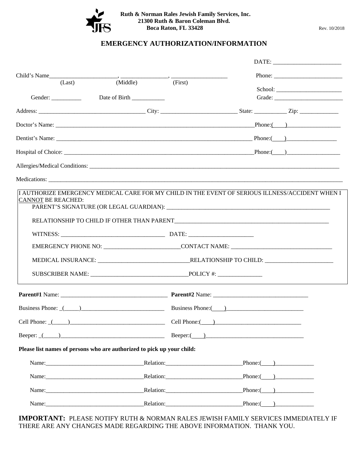

 **Ruth & Norman Rales Jewish Family Services, Inc. 21300 Ruth & Baron Coleman Blvd. Boca Raton, FL 33428** Rev. 10/2018

#### **EMERGENCY AUTHORIZATION/INFORMATION**

| (Last)                    | (Middle)                                                                                                                                                                                                                       | (First)             |                        |
|---------------------------|--------------------------------------------------------------------------------------------------------------------------------------------------------------------------------------------------------------------------------|---------------------|------------------------|
|                           |                                                                                                                                                                                                                                |                     |                        |
|                           | Gender: _____________ Date of Birth ___________                                                                                                                                                                                |                     |                        |
|                           |                                                                                                                                                                                                                                |                     |                        |
|                           |                                                                                                                                                                                                                                |                     |                        |
|                           |                                                                                                                                                                                                                                |                     |                        |
|                           | Hospital of Choice: Phone: Phone: Phone: Phone: Phone: Phone: Phone: Phone: Phone: Phone: Phone: Phone: Phone: Phone: Phone: Phone: Phone: Phone: Phone: Phone: Phone: Phone: Phone: Phone: Phone: Phone: Phone: Phone: Phone: |                     |                        |
|                           |                                                                                                                                                                                                                                |                     |                        |
|                           |                                                                                                                                                                                                                                |                     |                        |
| <b>CANNOT BE REACHED:</b> |                                                                                                                                                                                                                                |                     |                        |
|                           |                                                                                                                                                                                                                                |                     |                        |
|                           |                                                                                                                                                                                                                                |                     |                        |
|                           |                                                                                                                                                                                                                                |                     |                        |
|                           |                                                                                                                                                                                                                                |                     |                        |
|                           |                                                                                                                                                                                                                                |                     |                        |
|                           | Business Phone: (100) 2000 Business Phone: (2000) 2000 Business Phone: (2000) 2000 Business Phone: (2000) 2000                                                                                                                 |                     |                        |
|                           | Cell Phone: (Call Phone: Cell Phone: Cell Phone: Cell Phone: Cell Phone: Cell Phone: Cell Phone: Cell Phone: C                                                                                                                 |                     |                        |
|                           |                                                                                                                                                                                                                                |                     |                        |
|                           | Please list names of persons who are authorized to pick up your child:                                                                                                                                                         |                     |                        |
|                           |                                                                                                                                                                                                                                |                     | Phone: ( )             |
|                           |                                                                                                                                                                                                                                | Relation: Relation: | Phone: ( )             |
|                           |                                                                                                                                                                                                                                | Relation: Relation: | $\text{Phone:}(\_\_\)$ |
|                           | Name: Phone: Phone: Phone: Phone: Phone: Phone: Phone: Phone: Phone: Phone: Phone: Phone: Phone: Phone: Phone: Phone: Phone: Phone: Phone: Phone: Phone: Phone: Phone: Phone: Phone: Phone: Phone: Phone: Phone: Phone: Phone: |                     |                        |

**IMPORTANT:** PLEASE NOTIFY RUTH & NORMAN RALES JEWISH FAMILY SERVICES IMMEDIATELY IF THERE ARE ANY CHANGES MADE REGARDING THE ABOVE INFORMATION. THANK YOU.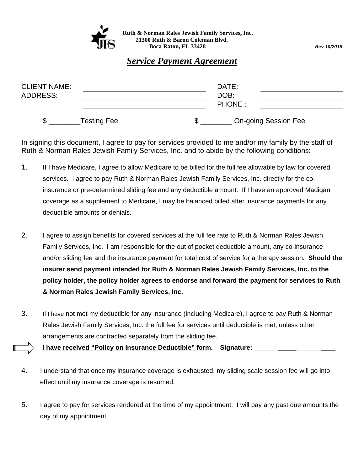

 **Ruth & Norman Rales Jewish Family Services, Inc. 21300 Ruth & Baron Coleman Blvd. Boca Raton, FL 33428** *Rev 10/2018* 

## *Service Payment Agreement*

| <b>CLIENT NAME:</b> |                    | DATE:                       |  |
|---------------------|--------------------|-----------------------------|--|
| ADDRESS:            |                    | DOB:                        |  |
|                     |                    | <b>PHONE:</b>               |  |
|                     | <b>Testing Fee</b> | <b>On-going Session Fee</b> |  |

In signing this document, I agree to pay for services provided to me and/or my family by the staff of Ruth & Norman Rales Jewish Family Services, Inc. and to abide by the following conditions:

- 1. If I have Medicare, I agree to allow Medicare to be billed for the full fee allowable by law for covered services. I agree to pay Ruth & Norman Rales Jewish Family Services, Inc. directly for the coinsurance or pre-determined sliding fee and any deductible amount. If I have an approved Madigan coverage as a supplement to Medicare, I may be balanced billed after insurance payments for any deductible amounts or denials.
- 2. I agree to assign benefits for covered services at the full fee rate to Ruth & Norman Rales Jewish Family Services, Inc. I am responsible for the out of pocket deductible amount, any co-insurance and/or sliding fee and the insurance payment for total cost of service for a therapy session**. Should the insurer send payment intended for Ruth & Norman Rales Jewish Family Services, Inc. to the policy holder, the policy holder agrees to endorse and forward the payment for services to Ruth & Norman Rales Jewish Family Services, Inc.**
- 3. If I have not met my deductible for any insurance (including Medicare), I agree to pay Ruth & Norman Rales Jewish Family Services, Inc. the full fee for services until deductible is met, unless other arrangements are contracted separately from the sliding fee.

**I have received "Policy on Insurance Deductible" form. Signature:** 

- 4. I understand that once my insurance coverage is exhausted, my sliding scale session fee will go into effect until my insurance coverage is resumed.
- 5. I agree to pay for services rendered at the time of my appointment. I will pay any past due amounts the day of my appointment.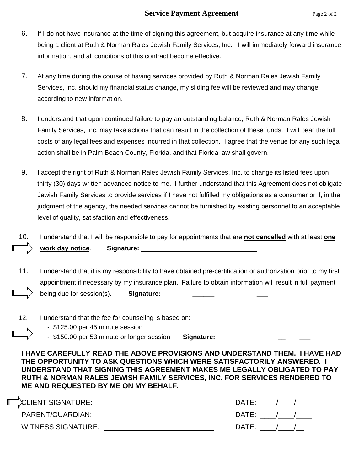- 6. If I do not have insurance at the time of signing this agreement, but acquire insurance at any time while being a client at Ruth & Norman Rales Jewish Family Services, Inc. I will immediately forward insurance information, and all conditions of this contract become effective.
- 7. At any time during the course of having services provided by Ruth & Norman Rales Jewish Family Services, Inc. should my financial status change, my sliding fee will be reviewed and may change according to new information.
- 8. I understand that upon continued failure to pay an outstanding balance, Ruth & Norman Rales Jewish Family Services, Inc. may take actions that can result in the collection of these funds. I will bear the full costs of any legal fees and expenses incurred in that collection. I agree that the venue for any such legal action shall be in Palm Beach County, Florida, and that Florida law shall govern.
- 9. I accept the right of Ruth & Norman Rales Jewish Family Services, Inc. to change its listed fees upon thirty (30) days written advanced notice to me. I further understand that this Agreement does not obligate Jewish Family Services to provide services if I have not fulfilled my obligations as a consumer or if, in the judgment of the agency, the needed services cannot be furnished by existing personnel to an acceptable level of quality, satisfaction and effectiveness.

|                             | I understand that I will be responsible to pay for appointments that are not cancelled with at least one |
|-----------------------------|----------------------------------------------------------------------------------------------------------|
| work day notice. Signature: |                                                                                                          |

- 11. I understand that it is my responsibility to have obtained pre-certification or authorization prior to my first appointment if necessary by my insurance plan. Failure to obtain information will result in full payment being due for session(s). **Signature:**
- 12. I understand that the fee for counseling is based on:
	- \$125.00 per 45 minute session
	- \$150.00 per 53 minute or longer session **Signature:**

**I HAVE CAREFULLY READ THE ABOVE PROVISIONS AND UNDERSTAND THEM. I HAVE HAD THE OPPORTUNITY TO ASK QUESTIONS WHICH WERE SATISFACTORILY ANSWERED. I UNDERSTAND THAT SIGNING THIS AGREEMENT MAKES ME LEGALLY OBLIGATED TO PAY RUTH & NORMAN RALES JEWISH FAMILY SERVICES, INC. FOR SERVICES RENDERED TO ME AND REQUESTED BY ME ON MY BEHALF.** 

| CULLENT SIGNATURE:        | DATE        |
|---------------------------|-------------|
| PARENT/GUARDIAN:          | DATE        |
| <b>WITNESS SIGNATURE:</b> | <b>DATE</b> |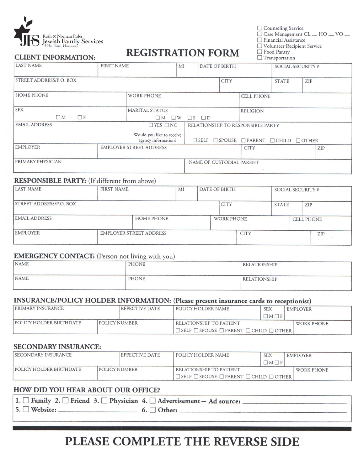

**CLIENT INFORMATION:** 

## **REGISTRATION FORM**

□ Counseling Service<br>□ Case Management CL \_\_ HO \_\_ VO \_\_  $\Box$  Financial Assistance

□ Volunteer Recipient Service

□ Food Pantry

|  | $\Box$ Transportation |
|--|-----------------------|
|  |                       |

| <b>LAST NAME</b>                       | <b>FIRST NAME</b>                                | MI                | DATE OF BIRTH                     |             | SOCIAL SECURITY #                                                 |              |     |     |
|----------------------------------------|--------------------------------------------------|-------------------|-----------------------------------|-------------|-------------------------------------------------------------------|--------------|-----|-----|
| STREET ADDRESS/P.O. BOX                |                                                  |                   |                                   | <b>CITY</b> |                                                                   | <b>STATE</b> | ZIP |     |
| <b>HOME PHONE</b><br><b>WORK PHONE</b> |                                                  | <b>CELL PHONE</b> |                                   |             |                                                                   |              |     |     |
| <b>SEX</b>                             | <b>MARITAL STATUS</b>                            |                   | <b>RELIGION</b>                   |             |                                                                   |              |     |     |
| $\Box M$<br>$\Box F$                   | $\Box M$ $\Box W$                                |                   | $\Box$ $S$ $\Box$ $D$             |             |                                                                   |              |     |     |
| <b>EMAIL ADDRESS</b><br>$T$ YES $T$ NO |                                                  |                   | RELATIONSHIP TO RESPONSIBLE PARTY |             |                                                                   |              |     |     |
|                                        | Would you like to receive<br>agency information? |                   |                                   |             | $\Box$ SELF $\Box$ SPOUSE $\Box$ PARENT $\Box$ CHILD $\Box$ OTHER |              |     |     |
| <b>EMPLOYER</b>                        | <b>EMPLOYER STREET ADDRESS</b>                   |                   |                                   |             | <b>CITY</b>                                                       |              |     | ZIP |
| <b>PRIMARY PHYSICIAN</b>               |                                                  |                   | NAME OF CUSTODIAL PARENT          |             |                                                                   |              |     |     |

#### **RESPONSIBLE PARTY:** (If different from above)

| <b>LAST NAME</b>               | <b>FIRST NAME</b>              | MI | DATE OF BIRTH |                   | SOCIAL SECURITY # |              |  |                   |
|--------------------------------|--------------------------------|----|---------------|-------------------|-------------------|--------------|--|-------------------|
| <b>STREET ADDRESS/P.O. BOX</b> |                                |    |               | <b>CITY</b>       |                   | <b>STATE</b> |  | ZIP               |
| <b>EMAIL ADDRESS</b>           | <b>HOME PHONE</b>              |    |               | <b>WORK PHONE</b> |                   |              |  | <b>CELL PHONE</b> |
| <b>EMPLOYER</b>                | <b>EMPLOYER STREET ADDRESS</b> |    |               |                   | <b>CITY</b>       |              |  | ZIP               |

#### **EMERGENCY CONTACT:** (Person not living with you)

| <b>NAME</b> | PHONE | RELATIONSHIP        |
|-------------|-------|---------------------|
| NAME        | PHONE | <b>RELATIONSHIP</b> |

#### INSURANCE/POLICY HOLDER INFORMATION: (Please present insurance cards to receptionist)

| <b>PRIMARY INSURANCE</b>                               |  | <b>EFFECTIVE DATE</b>   | POLICY HOLDER NAME                                                | <b>SEX</b>      | <b>EMPLOYER</b> |
|--------------------------------------------------------|--|-------------------------|-------------------------------------------------------------------|-----------------|-----------------|
|                                                        |  |                         |                                                                   | $\Box M \Box F$ |                 |
| <b>POLICY HOLDER BIRTHDATE</b><br><b>POLICY NUMBER</b> |  | RELATIONSHIP TO PATIENT |                                                                   | WORK PHONE      |                 |
|                                                        |  |                         | $\Box$ SELF $\Box$ SPOUSE $\Box$ PARENT $\Box$ CHILD $\Box$ OTHER |                 |                 |

#### **SECONDARY INSURANCE:**

| <b>I SECONDARY INSURANCE</b>                    |  | EFFECTIVE DATE          | POLICY HOLDER NAME                                                | <b>SEX</b>      | <b>EMPLOYER</b> |
|-------------------------------------------------|--|-------------------------|-------------------------------------------------------------------|-----------------|-----------------|
|                                                 |  |                         |                                                                   | $\Box M \Box F$ |                 |
| POLICY HOLDER BIRTHDATE<br><b>POLICY NUMBER</b> |  | RELATIONSHIP TO PATIENT |                                                                   | WORK PHONE      |                 |
|                                                 |  |                         | $\Box$ SELF $\Box$ SPOUSE $\Box$ PARENT $\Box$ CHILD $\Box$ OTHER |                 |                 |

#### HOW DID YOU HEAR ABOUT OUR OFFICE?

| $ 1. \Box$ Family 2. $\Box$ Friend 3. $\Box$ Physician 4. $\Box$ Advertisement - Ad source: |                         |
|---------------------------------------------------------------------------------------------|-------------------------|
| $5.$ Website:                                                                               | 6. $\Box$ Other: $\_\_$ |

## PLEASE COMPLETE THE REVERSE SIDE